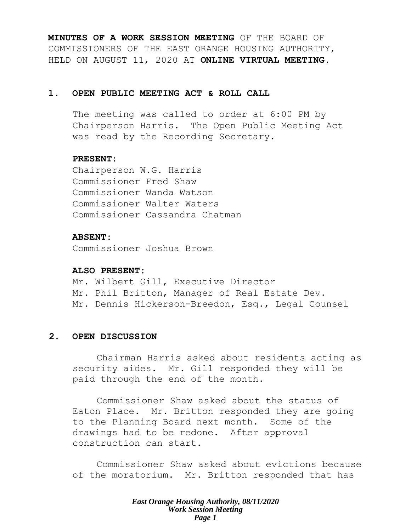**MINUTES OF A WORK SESSION MEETING** OF THE BOARD OF COMMISSIONERS OF THE EAST ORANGE HOUSING AUTHORITY, HELD ON AUGUST 11, 2020 AT **ONLINE VIRTUAL MEETING**.

# **1. OPEN PUBLIC MEETING ACT & ROLL CALL**

The meeting was called to order at 6:00 PM by Chairperson Harris. The Open Public Meeting Act was read by the Recording Secretary.

# **PRESENT:**

Chairperson W.G. Harris Commissioner Fred Shaw Commissioner Wanda Watson Commissioner Walter Waters Commissioner Cassandra Chatman

# **ABSENT:**

Commissioner Joshua Brown

### **ALSO PRESENT:**

Mr. Wilbert Gill, Executive Director Mr. Phil Britton, Manager of Real Estate Dev. Mr. Dennis Hickerson-Breedon, Esq., Legal Counsel

# **2. OPEN DISCUSSION**

Chairman Harris asked about residents acting as security aides. Mr. Gill responded they will be paid through the end of the month.

Commissioner Shaw asked about the status of Eaton Place. Mr. Britton responded they are going to the Planning Board next month. Some of the drawings had to be redone. After approval construction can start.

Commissioner Shaw asked about evictions because of the moratorium. Mr. Britton responded that has

> *East Orange Housing Authority, 08/11/2020 Work Session Meeting Page 1*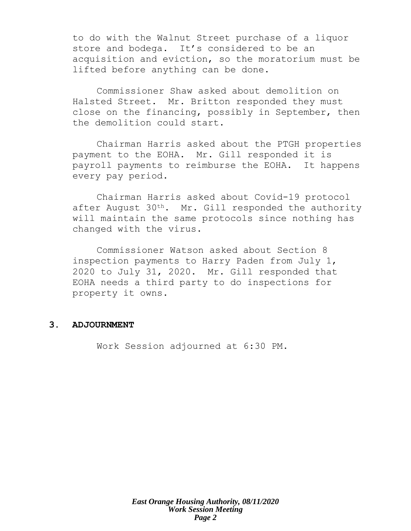to do with the Walnut Street purchase of a liquor store and bodega. It's considered to be an acquisition and eviction, so the moratorium must be lifted before anything can be done.

Commissioner Shaw asked about demolition on Halsted Street. Mr. Britton responded they must close on the financing, possibly in September, then the demolition could start.

Chairman Harris asked about the PTGH properties payment to the EOHA. Mr. Gill responded it is payroll payments to reimburse the EOHA. It happens every pay period.

Chairman Harris asked about Covid-19 protocol after August  $30<sup>th</sup>$ . Mr. Gill responded the authority will maintain the same protocols since nothing has changed with the virus.

Commissioner Watson asked about Section 8 inspection payments to Harry Paden from July 1, 2020 to July 31, 2020. Mr. Gill responded that EOHA needs a third party to do inspections for property it owns.

# **3. ADJOURNMENT**

Work Session adjourned at 6:30 PM.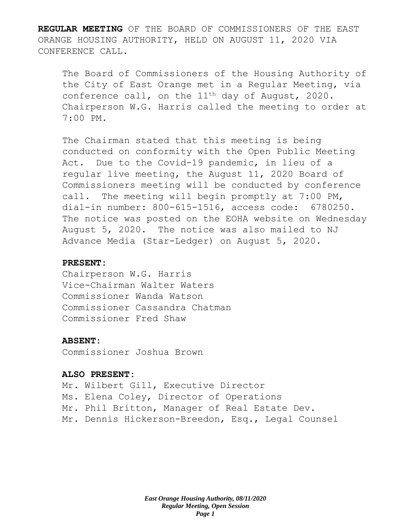**REGULAR MEETING** OF THE BOARD OF COMMISSIONERS OF THE EAST ORANGE HOUSING AUTHORITY, HELD ON AUGUST 11, 2020 VIA CONFERENCE CALL.

The Board of Commissioners of the Housing Authority of the City of East Orange met in a Regular Meeting, via conference call, on the 11<sup>th</sup> day of August, 2020. Chairperson W.G. Harris called the meeting to order at 7:00 PM.

The Chairman stated that this meeting is being conducted on conformity with the Open Public Meeting Act. Due to the Covid-19 pandemic, in lieu of a regular live meeting, the August 11, 2020 Board of Commissioners meeting will be conducted by conference call. The meeting will begin promptly at 7:00 PM, dial-in number: 800-615-1516, access code: 6780250. The notice was posted on the EOHA website on Wednesday August 5, 2020. The notice was also mailed to NJ Advance Media (Star-Ledger) on August 5, 2020.

# **PRESENT:**

Chairperson W.G. Harris Vice-Chairman Walter Waters Commissioner Wanda Watson Commissioner Cassandra Chatman Commissioner Fred Shaw

# **ABSENT:**

Commissioner Joshua Brown

# **ALSO PRESENT:**

Mr. Wilbert Gill, Executive Director Ms. Elena Coley, Director of Operations Mr. Phil Britton, Manager of Real Estate Dev. Mr. Dennis Hickerson-Breedon, Esq., Legal Counsel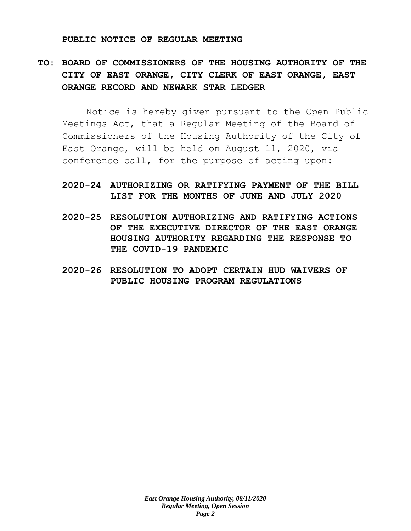#### **PUBLIC NOTICE OF REGULAR MEETING**

# **TO: BOARD OF COMMISSIONERS OF THE HOUSING AUTHORITY OF THE CITY OF EAST ORANGE, CITY CLERK OF EAST ORANGE, EAST ORANGE RECORD AND NEWARK STAR LEDGER**

Notice is hereby given pursuant to the Open Public Meetings Act, that a Regular Meeting of the Board of Commissioners of the Housing Authority of the City of East Orange, will be held on August 11, 2020, via conference call, for the purpose of acting upon:

# **2020-24 AUTHORIZING OR RATIFYING PAYMENT OF THE BILL LIST FOR THE MONTHS OF JUNE AND JULY 2020**

- **2020-25 RESOLUTION AUTHORIZING AND RATIFYING ACTIONS OF THE EXECUTIVE DIRECTOR OF THE EAST ORANGE HOUSING AUTHORITY REGARDING THE RESPONSE TO THE COVID-19 PANDEMIC**
- **2020-26 RESOLUTION TO ADOPT CERTAIN HUD WAIVERS OF PUBLIC HOUSING PROGRAM REGULATIONS**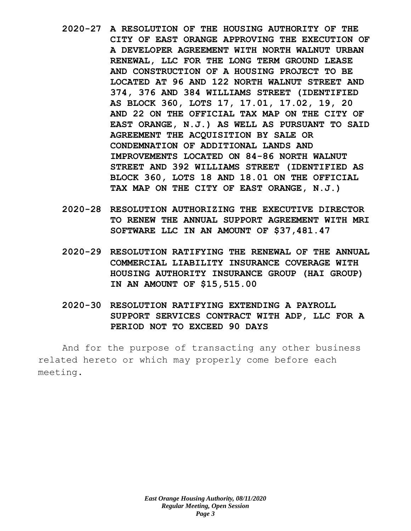- **2020-27 A RESOLUTION OF THE HOUSING AUTHORITY OF THE CITY OF EAST ORANGE APPROVING THE EXECUTION OF A DEVELOPER AGREEMENT WITH NORTH WALNUT URBAN RENEWAL, LLC FOR THE LONG TERM GROUND LEASE AND CONSTRUCTION OF A HOUSING PROJECT TO BE LOCATED AT 96 AND 122 NORTH WALNUT STREET AND 374, 376 AND 384 WILLIAMS STREET (IDENTIFIED AS BLOCK 360, LOTS 17, 17.01, 17.02, 19, 20 AND 22 ON THE OFFICIAL TAX MAP ON THE CITY OF EAST ORANGE, N.J.) AS WELL AS PURSUANT TO SAID AGREEMENT THE ACQUISITION BY SALE OR CONDEMNATION OF ADDITIONAL LANDS AND IMPROVEMENTS LOCATED ON 84-86 NORTH WALNUT STREET AND 392 WILLIAMS STREET (IDENTIFIED AS BLOCK 360, LOTS 18 AND 18.01 ON THE OFFICIAL TAX MAP ON THE CITY OF EAST ORANGE, N.J.)**
- **2020-28 RESOLUTION AUTHORIZING THE EXECUTIVE DIRECTOR TO RENEW THE ANNUAL SUPPORT AGREEMENT WITH MRI SOFTWARE LLC IN AN AMOUNT OF \$37,481.47**
- **2020-29 RESOLUTION RATIFYING THE RENEWAL OF THE ANNUAL COMMERCIAL LIABILITY INSURANCE COVERAGE WITH HOUSING AUTHORITY INSURANCE GROUP (HAI GROUP) IN AN AMOUNT OF \$15,515.00**
- **2020-30 RESOLUTION RATIFYING EXTENDING A PAYROLL SUPPORT SERVICES CONTRACT WITH ADP, LLC FOR A PERIOD NOT TO EXCEED 90 DAYS**

And for the purpose of transacting any other business related hereto or which may properly come before each meeting.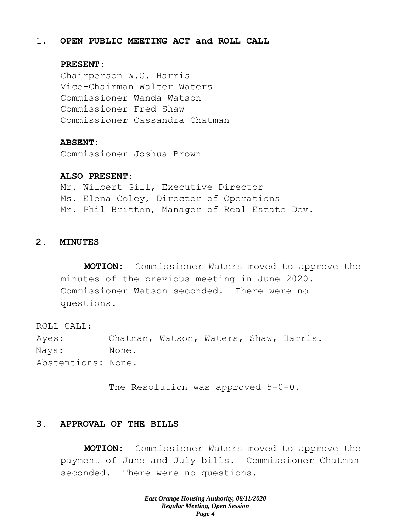# 1. **OPEN PUBLIC MEETING ACT and ROLL CALL**

### **PRESENT:**

Chairperson W.G. Harris Vice-Chairman Walter Waters Commissioner Wanda Watson Commissioner Fred Shaw Commissioner Cassandra Chatman

#### **ABSENT:**

Commissioner Joshua Brown

### **ALSO PRESENT:**

Mr. Wilbert Gill, Executive Director Ms. Elena Coley, Director of Operations Mr. Phil Britton, Manager of Real Estate Dev.

# **2. MINUTES**

**MOTION:** Commissioner Waters moved to approve the minutes of the previous meeting in June 2020. Commissioner Watson seconded. There were no questions.

ROLL CALL: Ayes: Chatman, Watson, Waters, Shaw, Harris. Nays: None. Abstentions: None.

The Resolution was approved 5-0-0.

#### **3. APPROVAL OF THE BILLS**

**MOTION:** Commissioner Waters moved to approve the payment of June and July bills. Commissioner Chatman seconded. There were no questions.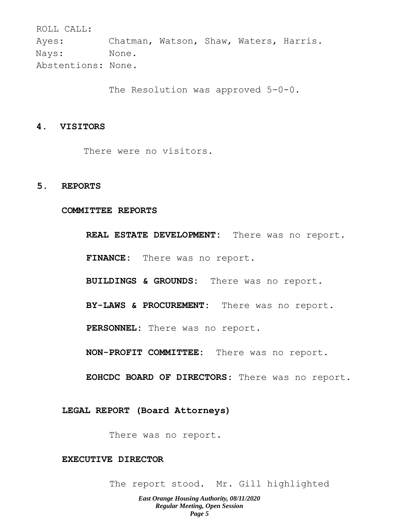ROLL CALL: Ayes: Chatman, Watson, Shaw, Waters, Harris. Nays: None. Abstentions: None.

The Resolution was approved 5-0-0.

#### **4. VISITORS**

There were no visitors.

#### **5. REPORTS**

#### **COMMITTEE REPORTS**

**REAL ESTATE DEVELOPMENT:** There was no report. **FINANCE:** There was no report. **BUILDINGS & GROUNDS:** There was no report. **BY-LAWS & PROCUREMENT:** There was no report. **PERSONNEL:** There was no report.

**NON-PROFIT COMMITTEE:** There was no report.

**EOHCDC BOARD OF DIRECTORS**: There was no report.

#### **LEGAL REPORT (Board Attorneys)**

There was no report.

# **EXECUTIVE DIRECTOR**

The report stood. Mr. Gill highlighted

*East Orange Housing Authority, 08/11/2020 Regular Meeting, Open Session Page 5*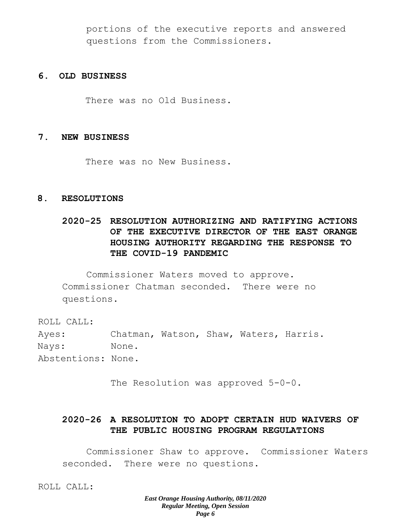portions of the executive reports and answered questions from the Commissioners.

# **6. OLD BUSINESS**

There was no Old Business.

# **7. NEW BUSINESS**

There was no New Business.

# **8. RESOLUTIONS**

# **2020-25 RESOLUTION AUTHORIZING AND RATIFYING ACTIONS OF THE EXECUTIVE DIRECTOR OF THE EAST ORANGE HOUSING AUTHORITY REGARDING THE RESPONSE TO THE COVID-19 PANDEMIC**

Commissioner Waters moved to approve. Commissioner Chatman seconded. There were no questions.

ROLL CALL:

Ayes: Chatman, Watson, Shaw, Waters, Harris. Nays: None. Abstentions: None.

The Resolution was approved 5-0-0.

# **2020-26 A RESOLUTION TO ADOPT CERTAIN HUD WAIVERS OF THE PUBLIC HOUSING PROGRAM REGULATIONS**

Commissioner Shaw to approve. Commissioner Waters seconded. There were no questions.

ROLL CALL: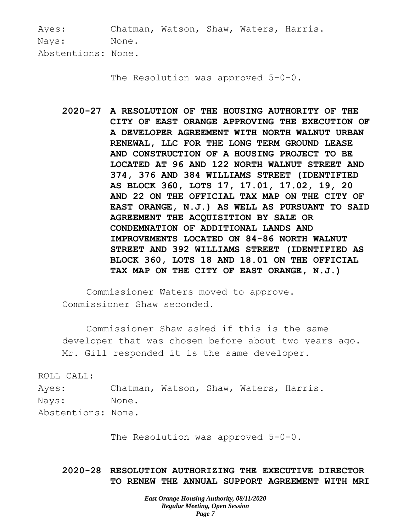Ayes: Chatman, Watson, Shaw, Waters, Harris. Nays: None. Abstentions: None.

The Resolution was approved 5-0-0.

**2020-27 A RESOLUTION OF THE HOUSING AUTHORITY OF THE CITY OF EAST ORANGE APPROVING THE EXECUTION OF A DEVELOPER AGREEMENT WITH NORTH WALNUT URBAN RENEWAL, LLC FOR THE LONG TERM GROUND LEASE AND CONSTRUCTION OF A HOUSING PROJECT TO BE LOCATED AT 96 AND 122 NORTH WALNUT STREET AND 374, 376 AND 384 WILLIAMS STREET (IDENTIFIED AS BLOCK 360, LOTS 17, 17.01, 17.02, 19, 20 AND 22 ON THE OFFICIAL TAX MAP ON THE CITY OF EAST ORANGE, N.J.) AS WELL AS PURSUANT TO SAID AGREEMENT THE ACQUISITION BY SALE OR CONDEMNATION OF ADDITIONAL LANDS AND IMPROVEMENTS LOCATED ON 84-86 NORTH WALNUT STREET AND 392 WILLIAMS STREET (IDENTIFIED AS BLOCK 360, LOTS 18 AND 18.01 ON THE OFFICIAL TAX MAP ON THE CITY OF EAST ORANGE, N.J.)**

Commissioner Waters moved to approve. Commissioner Shaw seconded.

Commissioner Shaw asked if this is the same developer that was chosen before about two years ago. Mr. Gill responded it is the same developer.

ROLL CALL:

Ayes: Chatman, Watson, Shaw, Waters, Harris. Nays: None.

Abstentions: None.

The Resolution was approved 5-0-0.

# **2020-28 RESOLUTION AUTHORIZING THE EXECUTIVE DIRECTOR TO RENEW THE ANNUAL SUPPORT AGREEMENT WITH MRI**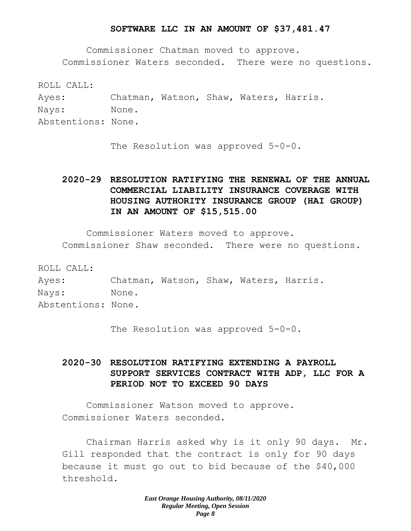### **SOFTWARE LLC IN AN AMOUNT OF \$37,481.47**

Commissioner Chatman moved to approve. Commissioner Waters seconded. There were no questions.

ROLL CALL: Ayes: Chatman, Watson, Shaw, Waters, Harris. Nays: None. Abstentions: None.

The Resolution was approved 5-0-0.

# **2020-29 RESOLUTION RATIFYING THE RENEWAL OF THE ANNUAL COMMERCIAL LIABILITY INSURANCE COVERAGE WITH HOUSING AUTHORITY INSURANCE GROUP (HAI GROUP) IN AN AMOUNT OF \$15,515.00**

Commissioner Waters moved to approve. Commissioner Shaw seconded. There were no questions.

ROLL CALL:

Ayes: Chatman, Watson, Shaw, Waters, Harris. Nays: None. Abstentions: None.

The Resolution was approved 5-0-0.

# **2020-30 RESOLUTION RATIFYING EXTENDING A PAYROLL SUPPORT SERVICES CONTRACT WITH ADP, LLC FOR A PERIOD NOT TO EXCEED 90 DAYS**

Commissioner Watson moved to approve. Commissioner Waters seconded.

Chairman Harris asked why is it only 90 days. Mr. Gill responded that the contract is only for 90 days because it must go out to bid because of the \$40,000 threshold.